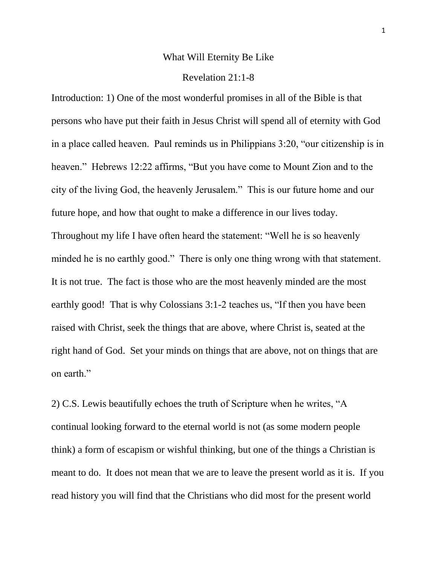#### What Will Eternity Be Like

#### Revelation 21:1-8

Introduction: 1) One of the most wonderful promises in all of the Bible is that persons who have put their faith in Jesus Christ will spend all of eternity with God in a place called heaven. Paul reminds us in Philippians 3:20, "our citizenship is in heaven." Hebrews 12:22 affirms, "But you have come to Mount Zion and to the city of the living God, the heavenly Jerusalem." This is our future home and our future hope, and how that ought to make a difference in our lives today. Throughout my life I have often heard the statement: "Well he is so heavenly minded he is no earthly good." There is only one thing wrong with that statement. It is not true. The fact is those who are the most heavenly minded are the most earthly good! That is why Colossians 3:1-2 teaches us, "If then you have been raised with Christ, seek the things that are above, where Christ is, seated at the right hand of God. Set your minds on things that are above, not on things that are on earth."

2) C.S. Lewis beautifully echoes the truth of Scripture when he writes, "A continual looking forward to the eternal world is not (as some modern people think) a form of escapism or wishful thinking, but one of the things a Christian is meant to do. It does not mean that we are to leave the present world as it is. If you read history you will find that the Christians who did most for the present world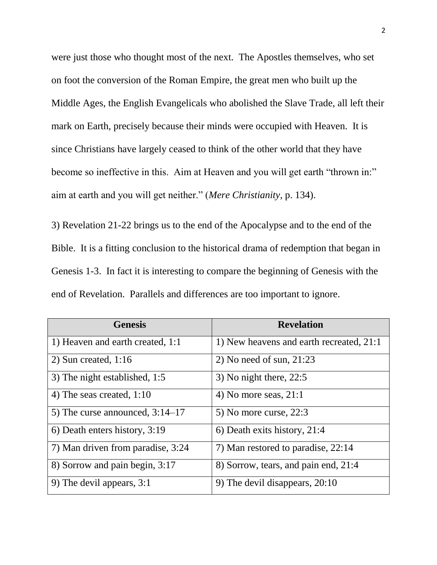were just those who thought most of the next. The Apostles themselves, who set on foot the conversion of the Roman Empire, the great men who built up the Middle Ages, the English Evangelicals who abolished the Slave Trade, all left their mark on Earth, precisely because their minds were occupied with Heaven. It is since Christians have largely ceased to think of the other world that they have become so ineffective in this. Aim at Heaven and you will get earth "thrown in:" aim at earth and you will get neither." (*Mere Christianity*, p. 134).

3) Revelation 21-22 brings us to the end of the Apocalypse and to the end of the Bible. It is a fitting conclusion to the historical drama of redemption that began in Genesis 1-3. In fact it is interesting to compare the beginning of Genesis with the end of Revelation. Parallels and differences are too important to ignore.

| <b>Genesis</b>                    | <b>Revelation</b>                        |
|-----------------------------------|------------------------------------------|
| 1) Heaven and earth created, 1:1  | 1) New heavens and earth recreated, 21:1 |
| 2) Sun created, $1:16$            | 2) No need of sun, $21:23$               |
| 3) The night established, 1:5     | $3)$ No night there, 22:5                |
| 4) The seas created, $1:10$       | 4) No more seas, $21:1$                  |
| 5) The curse announced, $3:14-17$ | 5) No more curse, $22:3$                 |
| 6) Death enters history, 3:19     | 6) Death exits history, 21:4             |
| 7) Man driven from paradise, 3:24 | 7) Man restored to paradise, 22:14       |
| 8) Sorrow and pain begin, 3:17    | 8) Sorrow, tears, and pain end, 21:4     |
| 9) The devil appears, 3:1         | 9) The devil disappears, $20:10$         |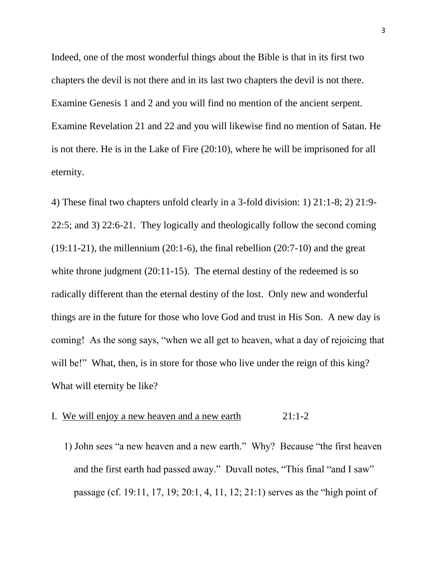Indeed, one of the most wonderful things about the Bible is that in its first two chapters the devil is not there and in its last two chapters the devil is not there. Examine Genesis 1 and 2 and you will find no mention of the ancient serpent. Examine Revelation 21 and 22 and you will likewise find no mention of Satan. He is not there. He is in the Lake of Fire (20:10), where he will be imprisoned for all eternity.

4) These final two chapters unfold clearly in a 3-fold division: 1) 21:1-8; 2) 21:9- 22:5; and 3) 22:6-21. They logically and theologically follow the second coming  $(19:11-21)$ , the millennium  $(20:1-6)$ , the final rebellion  $(20:7-10)$  and the great white throne judgment (20:11-15). The eternal destiny of the redeemed is so radically different than the eternal destiny of the lost. Only new and wonderful things are in the future for those who love God and trust in His Son. A new day is coming! As the song says, "when we all get to heaven, what a day of rejoicing that will be!" What, then, is in store for those who live under the reign of this king? What will eternity be like?

## I. We will enjoy a new heaven and a new earth 21:1-2

 1) John sees "a new heaven and a new earth." Why? Because "the first heaven and the first earth had passed away." Duvall notes, "This final "and I saw" passage (cf. 19:11, 17, 19; 20:1, 4, 11, 12; 21:1) serves as the "high point of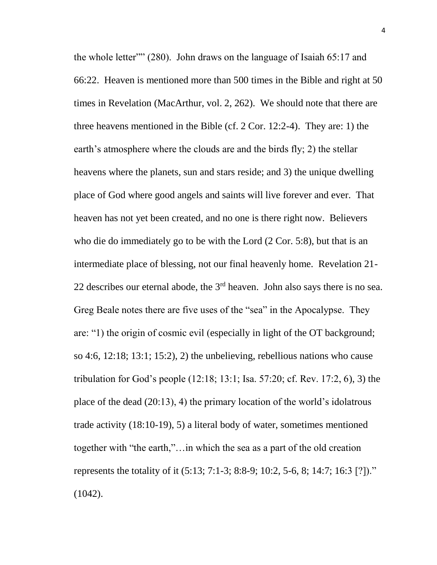the whole letter"" (280). John draws on the language of Isaiah 65:17 and 66:22. Heaven is mentioned more than 500 times in the Bible and right at 50 times in Revelation (MacArthur, vol. 2, 262). We should note that there are three heavens mentioned in the Bible (cf. 2 Cor. 12:2-4). They are: 1) the earth's atmosphere where the clouds are and the birds fly; 2) the stellar heavens where the planets, sun and stars reside; and 3) the unique dwelling place of God where good angels and saints will live forever and ever. That heaven has not yet been created, and no one is there right now. Believers who die do immediately go to be with the Lord (2 Cor. 5:8), but that is an intermediate place of blessing, not our final heavenly home. Revelation 21- 22 describes our eternal abode, the  $3<sup>rd</sup>$  heaven. John also says there is no sea. Greg Beale notes there are five uses of the "sea" in the Apocalypse. They are: "1) the origin of cosmic evil (especially in light of the OT background; so 4:6, 12:18; 13:1; 15:2), 2) the unbelieving, rebellious nations who cause tribulation for God's people (12:18; 13:1; Isa. 57:20; cf. Rev. 17:2, 6), 3) the place of the dead (20:13), 4) the primary location of the world's idolatrous trade activity (18:10-19), 5) a literal body of water, sometimes mentioned together with "the earth,"…in which the sea as a part of the old creation represents the totality of it (5:13; 7:1-3; 8:8-9; 10:2, 5-6, 8; 14:7; 16:3 [?])." (1042).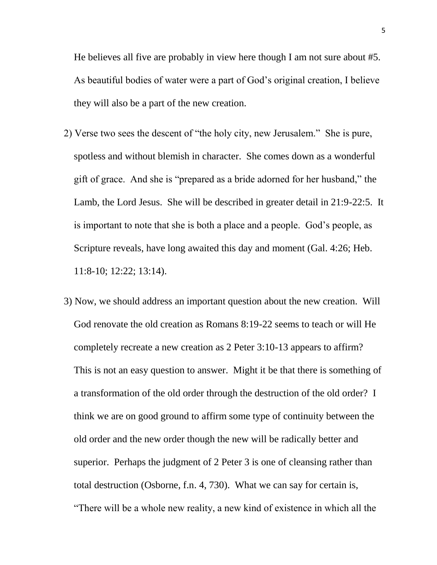He believes all five are probably in view here though I am not sure about #5. As beautiful bodies of water were a part of God's original creation, I believe they will also be a part of the new creation.

- 2) Verse two sees the descent of "the holy city, new Jerusalem." She is pure, spotless and without blemish in character. She comes down as a wonderful gift of grace. And she is "prepared as a bride adorned for her husband," the Lamb, the Lord Jesus. She will be described in greater detail in 21:9-22:5. It is important to note that she is both a place and a people. God's people, as Scripture reveals, have long awaited this day and moment (Gal. 4:26; Heb. 11:8-10; 12:22; 13:14).
- 3) Now, we should address an important question about the new creation. Will God renovate the old creation as Romans 8:19-22 seems to teach or will He completely recreate a new creation as 2 Peter 3:10-13 appears to affirm? This is not an easy question to answer. Might it be that there is something of a transformation of the old order through the destruction of the old order? I think we are on good ground to affirm some type of continuity between the old order and the new order though the new will be radically better and superior. Perhaps the judgment of 2 Peter 3 is one of cleansing rather than total destruction (Osborne, f.n. 4, 730). What we can say for certain is, "There will be a whole new reality, a new kind of existence in which all the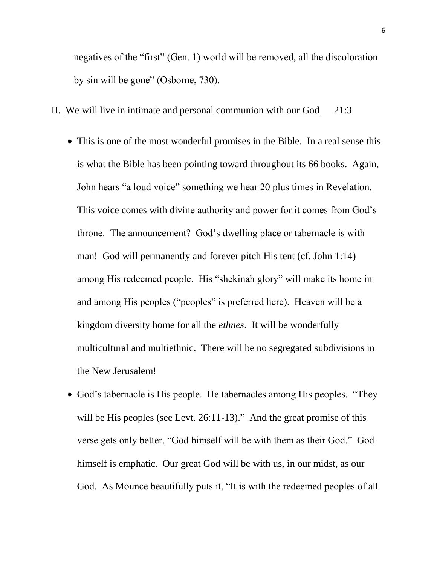negatives of the "first" (Gen. 1) world will be removed, all the discoloration by sin will be gone" (Osborne, 730).

### II. We will live in intimate and personal communion with our God 21:3

- This is one of the most wonderful promises in the Bible. In a real sense this is what the Bible has been pointing toward throughout its 66 books. Again, John hears "a loud voice" something we hear 20 plus times in Revelation. This voice comes with divine authority and power for it comes from God's throne. The announcement? God's dwelling place or tabernacle is with man! God will permanently and forever pitch His tent (cf. John 1:14) among His redeemed people. His "shekinah glory" will make its home in and among His peoples ("peoples" is preferred here). Heaven will be a kingdom diversity home for all the *ethnes*. It will be wonderfully multicultural and multiethnic. There will be no segregated subdivisions in the New Jerusalem!
- God's tabernacle is His people. He tabernacles among His peoples. "They will be His peoples (see Levt. 26:11-13)." And the great promise of this verse gets only better, "God himself will be with them as their God." God himself is emphatic. Our great God will be with us, in our midst, as our God. As Mounce beautifully puts it, "It is with the redeemed peoples of all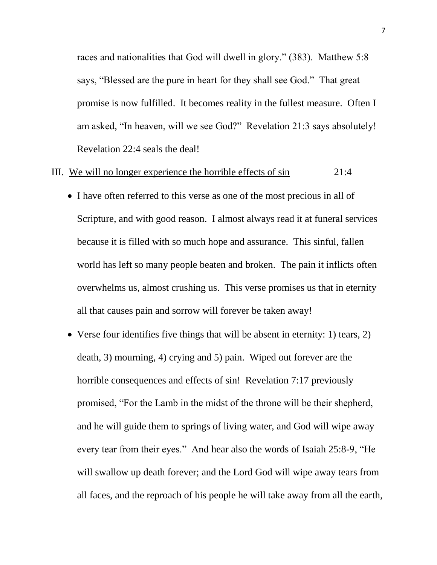races and nationalities that God will dwell in glory." (383). Matthew 5:8 says, "Blessed are the pure in heart for they shall see God." That great promise is now fulfilled. It becomes reality in the fullest measure. Often I am asked, "In heaven, will we see God?" Revelation 21:3 says absolutely! Revelation 22:4 seals the deal!

#### III. We will no longer experience the horrible effects of sin 21:4

- I have often referred to this verse as one of the most precious in all of Scripture, and with good reason. I almost always read it at funeral services because it is filled with so much hope and assurance. This sinful, fallen world has left so many people beaten and broken. The pain it inflicts often overwhelms us, almost crushing us. This verse promises us that in eternity all that causes pain and sorrow will forever be taken away!
- Verse four identifies five things that will be absent in eternity: 1) tears, 2) death, 3) mourning, 4) crying and 5) pain. Wiped out forever are the horrible consequences and effects of sin! Revelation 7:17 previously promised, "For the Lamb in the midst of the throne will be their shepherd, and he will guide them to springs of living water, and God will wipe away every tear from their eyes." And hear also the words of Isaiah 25:8-9, "He will swallow up death forever; and the Lord God will wipe away tears from all faces, and the reproach of his people he will take away from all the earth,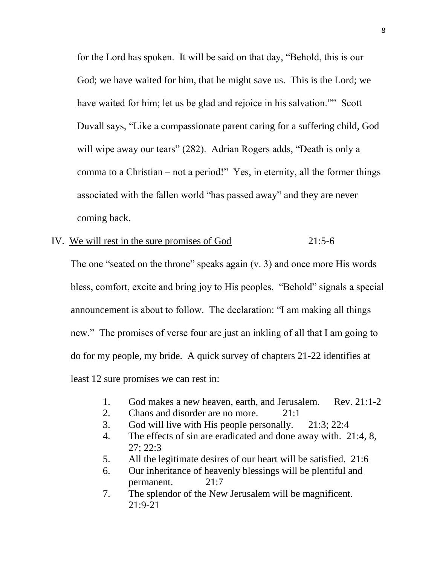for the Lord has spoken. It will be said on that day, "Behold, this is our God; we have waited for him, that he might save us. This is the Lord; we have waited for him; let us be glad and rejoice in his salvation."" Scott Duvall says, "Like a compassionate parent caring for a suffering child, God will wipe away our tears" (282). Adrian Rogers adds, "Death is only a comma to a Christian – not a period!" Yes, in eternity, all the former things associated with the fallen world "has passed away" and they are never coming back.

# IV. We will rest in the sure promises of God 21:5-6

 The one "seated on the throne" speaks again (v. 3) and once more His words bless, comfort, excite and bring joy to His peoples. "Behold" signals a special announcement is about to follow. The declaration: "I am making all things new." The promises of verse four are just an inkling of all that I am going to do for my people, my bride. A quick survey of chapters 21-22 identifies at least 12 sure promises we can rest in:

- 1. God makes a new heaven, earth, and Jerusalem. Rev. 21:1-2
- 2. Chaos and disorder are no more. 21:1
- 3. God will live with His people personally. 21:3; 22:4
- 4. The effects of sin are eradicated and done away with. 21:4, 8, 27; 22:3
- 5. All the legitimate desires of our heart will be satisfied. 21:6
- 6. Our inheritance of heavenly blessings will be plentiful and permanent. 21:7
- 7. The splendor of the New Jerusalem will be magnificent. 21:9-21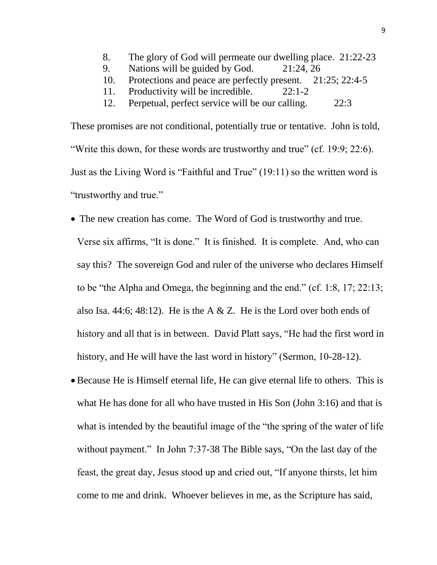- 8. The glory of God will permeate our dwelling place. 21:22-23
- 9. Nations will be guided by God. 21:24, 26
- 10. Protections and peace are perfectly present. 21:25; 22:4-5
- 11. Productivity will be incredible. 22:1-2
- 12. Perpetual, perfect service will be our calling. 22:3

These promises are not conditional, potentially true or tentative. John is told, "Write this down, for these words are trustworthy and true" (cf. 19:9; 22:6). Just as the Living Word is "Faithful and True" (19:11) so the written word is "trustworthy and true."

- The new creation has come. The Word of God is trustworthy and true. Verse six affirms, "It is done." It is finished. It is complete. And, who can say this? The sovereign God and ruler of the universe who declares Himself to be "the Alpha and Omega, the beginning and the end." (cf. 1:8, 17; 22:13; also Isa. 44:6; 48:12). He is the A & Z. He is the Lord over both ends of history and all that is in between. David Platt says, "He had the first word in history, and He will have the last word in history" (Sermon, 10-28-12).
- Because He is Himself eternal life, He can give eternal life to others. This is what He has done for all who have trusted in His Son (John 3:16) and that is what is intended by the beautiful image of the "the spring of the water of life without payment." In John 7:37-38 The Bible says, "On the last day of the feast, the great day, Jesus stood up and cried out, "If anyone thirsts, let him come to me and drink. Whoever believes in me, as the Scripture has said,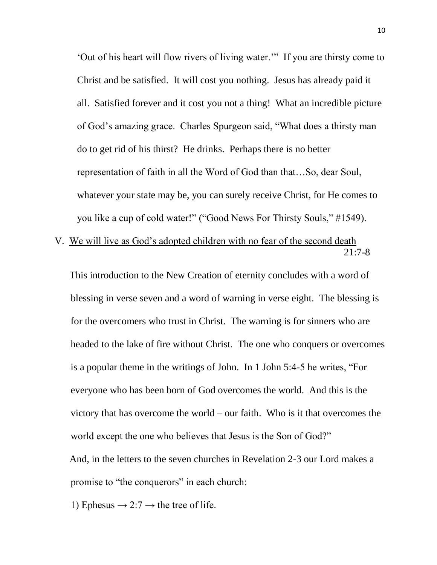'Out of his heart will flow rivers of living water.'" If you are thirsty come to Christ and be satisfied. It will cost you nothing. Jesus has already paid it all. Satisfied forever and it cost you not a thing! What an incredible picture of God's amazing grace. Charles Spurgeon said, "What does a thirsty man do to get rid of his thirst? He drinks. Perhaps there is no better representation of faith in all the Word of God than that…So, dear Soul, whatever your state may be, you can surely receive Christ, for He comes to you like a cup of cold water!" ("Good News For Thirsty Souls," #1549).

V. We will live as God's adopted children with no fear of the second death 21:7-8

 This introduction to the New Creation of eternity concludes with a word of blessing in verse seven and a word of warning in verse eight. The blessing is for the overcomers who trust in Christ. The warning is for sinners who are headed to the lake of fire without Christ. The one who conquers or overcomes is a popular theme in the writings of John. In 1 John 5:4-5 he writes, "For everyone who has been born of God overcomes the world. And this is the victory that has overcome the world – our faith. Who is it that overcomes the world except the one who believes that Jesus is the Son of God?" And, in the letters to the seven churches in Revelation 2-3 our Lord makes a promise to "the conquerors" in each church:

1) Ephesus  $\rightarrow$  2:7  $\rightarrow$  the tree of life.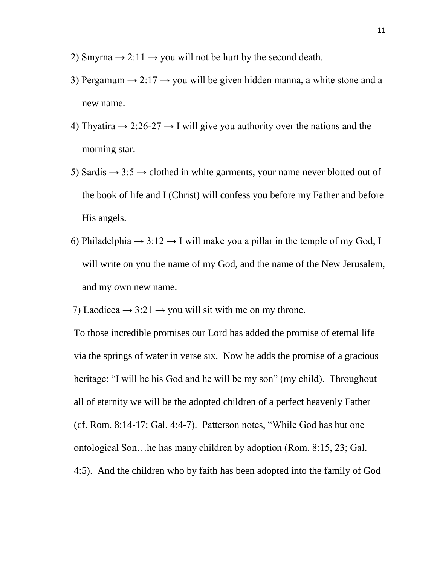- 2) Smyrna  $\rightarrow$  2:11  $\rightarrow$  you will not be hurt by the second death.
- 3) Pergamum  $\rightarrow$  2:17  $\rightarrow$  you will be given hidden manna, a white stone and a new name.
- 4) Thyatira  $\rightarrow$  2:26-27  $\rightarrow$  I will give you authority over the nations and the morning star.
- 5) Sardis  $\rightarrow$  3:5  $\rightarrow$  clothed in white garments, your name never blotted out of the book of life and I (Christ) will confess you before my Father and before His angels.
- 6) Philadelphia  $\rightarrow$  3:12  $\rightarrow$  I will make you a pillar in the temple of my God, I will write on you the name of my God, and the name of the New Jerusalem, and my own new name.

7) Laodicea  $\rightarrow$  3:21  $\rightarrow$  you will sit with me on my throne.

To those incredible promises our Lord has added the promise of eternal life via the springs of water in verse six. Now he adds the promise of a gracious heritage: "I will be his God and he will be my son" (my child). Throughout all of eternity we will be the adopted children of a perfect heavenly Father (cf. Rom. 8:14-17; Gal. 4:4-7). Patterson notes, "While God has but one ontological Son…he has many children by adoption (Rom. 8:15, 23; Gal. 4:5). And the children who by faith has been adopted into the family of God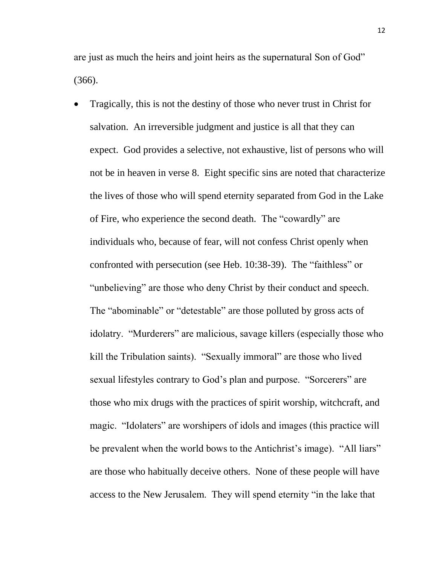are just as much the heirs and joint heirs as the supernatural Son of God" (366).

 Tragically, this is not the destiny of those who never trust in Christ for salvation. An irreversible judgment and justice is all that they can expect. God provides a selective, not exhaustive, list of persons who will not be in heaven in verse 8. Eight specific sins are noted that characterize the lives of those who will spend eternity separated from God in the Lake of Fire, who experience the second death. The "cowardly" are individuals who, because of fear, will not confess Christ openly when confronted with persecution (see Heb. 10:38-39). The "faithless" or "unbelieving" are those who deny Christ by their conduct and speech. The "abominable" or "detestable" are those polluted by gross acts of idolatry. "Murderers" are malicious, savage killers (especially those who kill the Tribulation saints). "Sexually immoral" are those who lived sexual lifestyles contrary to God's plan and purpose. "Sorcerers" are those who mix drugs with the practices of spirit worship, witchcraft, and magic. "Idolaters" are worshipers of idols and images (this practice will be prevalent when the world bows to the Antichrist's image). "All liars" are those who habitually deceive others. None of these people will have access to the New Jerusalem. They will spend eternity "in the lake that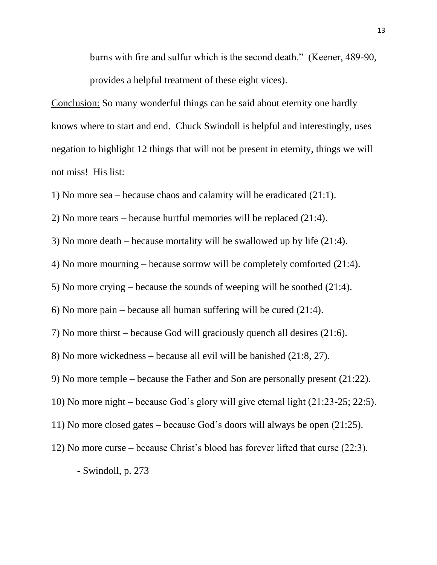burns with fire and sulfur which is the second death." (Keener, 489-90, provides a helpful treatment of these eight vices).

Conclusion: So many wonderful things can be said about eternity one hardly knows where to start and end. Chuck Swindoll is helpful and interestingly, uses negation to highlight 12 things that will not be present in eternity, things we will not miss! His list:

1) No more sea – because chaos and calamity will be eradicated (21:1).

2) No more tears – because hurtful memories will be replaced (21:4).

3) No more death – because mortality will be swallowed up by life (21:4).

4) No more mourning – because sorrow will be completely comforted (21:4).

5) No more crying – because the sounds of weeping will be soothed (21:4).

6) No more pain – because all human suffering will be cured (21:4).

7) No more thirst – because God will graciously quench all desires (21:6).

8) No more wickedness – because all evil will be banished (21:8, 27).

9) No more temple – because the Father and Son are personally present (21:22).

10) No more night – because God's glory will give eternal light (21:23-25; 22:5).

11) No more closed gates – because God's doors will always be open (21:25).

12) No more curse – because Christ's blood has forever lifted that curse (22:3).

- Swindoll, p. 273